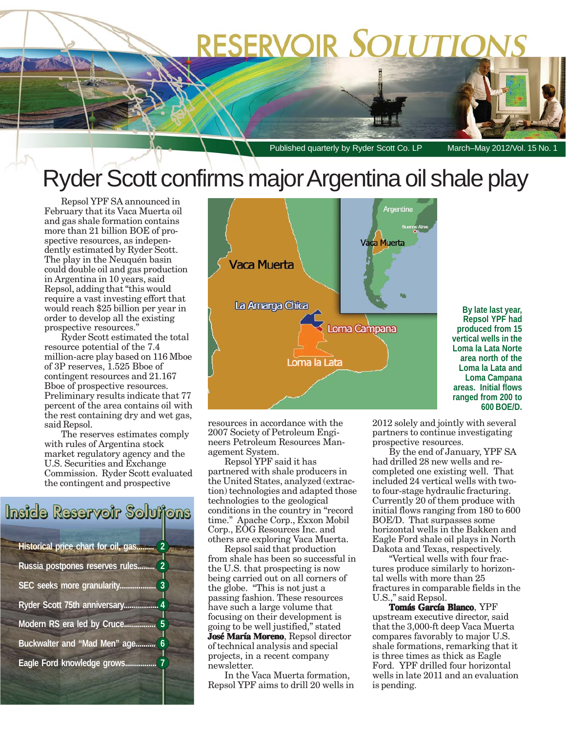# RESERVOIR SOLUTIO

Published quarterly by Ryder Scott Co. LP March–May 2012/Vol. 15 No. 1

**By late last year, Repsol YPF had produced from 15 vertical wells in the Loma la Lata Norte area north of the Loma la Lata and Loma Campana areas. Initial flows ranged from 200 to 600 BOE/D.**

### Ryder Scott confirms major Argentina oil shale play

Repsol YPF SA announced in February that its Vaca Muerta oil and gas shale formation contains more than 21 billion BOE of prospective resources, as independently estimated by Ryder Scott. The play in the Neuquén basin could double oil and gas production in Argentina in 10 years, said Repsol, adding that "this would require a vast investing effort that would reach \$25 billion per year in order to develop all the existing prospective resources."

Ryder Scott estimated the total resource potential of the 7.4 million-acre play based on 116 Mboe of 3P reserves, 1.525 Bboe of contingent resources and 21.167 Bboe of prospective resources. Preliminary results indicate that 77 percent of the area contains oil with the rest containing dry and wet gas, said Repsol.

The reserves estimates comply with rules of Argentina stock market regulatory agency and the U.S. Securities and Exchange Commission. Ryder Scott evaluated the contingent and prospective

### Inside Reservoir Solutions

| $\overline{2}$<br>Historical price chart for oil, gas |  |  |  |  |
|-------------------------------------------------------|--|--|--|--|
| $\overline{2}$<br>Russia postpones reserves rules     |  |  |  |  |
| 3<br>SEC seeks more granularity                       |  |  |  |  |
| $\overline{4}$<br>Ryder Scott 75th anniversary        |  |  |  |  |
| Modern RS era led by Cruce.                           |  |  |  |  |
| Buckwalter and "Mad Men" age.<br>6                    |  |  |  |  |
| $\overline{7}$<br>Eagle Ford knowledge grows.         |  |  |  |  |



resources in accordance with the 2007 Society of Petroleum Engineers Petroleum Resources Management System.

Repsol YPF said it has partnered with shale producers in the United States, analyzed (extraction) technologies and adapted those technologies to the geological conditions in the country in "record time." Apache Corp., Exxon Mobil Corp., EOG Resources Inc. and others are exploring Vaca Muerta.

Repsol said that production from shale has been so successful in the U.S. that prospecting is now being carried out on all corners of the globe. "This is not just a passing fashion. These resources have such a large volume that focusing on their development is going to be well justified," stated **José María Moreno**, Repsol director of technical analysis and special projects, in a recent company newsletter.

In the Vaca Muerta formation, Repsol YPF aims to drill 20 wells in 2012 solely and jointly with several partners to continue investigating prospective resources.

By the end of January, YPF SA had drilled 28 new wells and recompleted one existing well. That included 24 vertical wells with twoto four-stage hydraulic fracturing. Currently 20 of them produce with initial flows ranging from 180 to 600 BOE/D. That surpasses some horizontal wells in the Bakken and Eagle Ford shale oil plays in North Dakota and Texas, respectively.

"Vertical wells with four fractures produce similarly to horizontal wells with more than 25 fractures in comparable fields in the U.S.," said Repsol.

**Tomás García Blanco**, YPF upstream executive director, said that the 3,000-ft deep Vaca Muerta compares favorably to major U.S. shale formations, remarking that it is three times as thick as Eagle Ford. YPF drilled four horizontal wells in late 2011 and an evaluation is pending.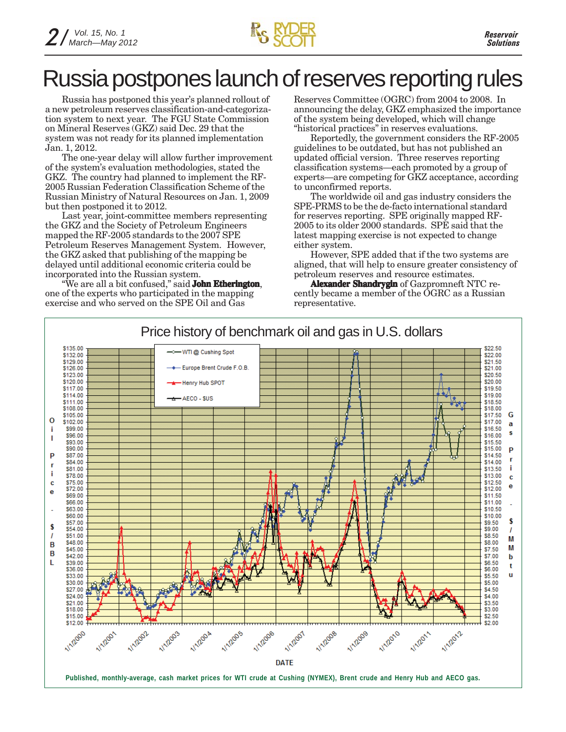

### Russia postpones launch of reserves reporting rules

Russia has postponed this year's planned rollout of a new petroleum reserves classification-and-categorization system to next year. The FGU State Commission on Mineral Reserves (GKZ) said Dec. 29 that the system was not ready for its planned implementation Jan. 1, 2012.

The one-year delay will allow further improvement of the system's evaluation methodologies, stated the GKZ. The country had planned to implement the RF-2005 Russian Federation Classification Scheme of the Russian Ministry of Natural Resources on Jan. 1, 2009 but then postponed it to 2012.

Last year, joint-committee members representing the GKZ and the Society of Petroleum Engineers mapped the RF-2005 standards to the 2007 SPE Petroleum Reserves Management System. However, the GKZ asked that publishing of the mapping be delayed until additional economic criteria could be incorporated into the Russian system.

"We are all a bit confused," said **John Etherington**, one of the experts who participated in the mapping exercise and who served on the SPE Oil and Gas

Reserves Committee (OGRC) from 2004 to 2008. In announcing the delay, GKZ emphasized the importance of the system being developed, which will change "historical practices" in reserves evaluations.

Reportedly, the government considers the RF-2005 guidelines to be outdated, but has not published an updated official version. Three reserves reporting classification systems—each promoted by a group of experts—are competing for GKZ acceptance, according to unconfirmed reports.

The worldwide oil and gas industry considers the SPE-PRMS to be the de-facto international standard for reserves reporting. SPE originally mapped RF-2005 to its older 2000 standards. SPE said that the latest mapping exercise is not expected to change either system.

However, SPE added that if the two systems are aligned, that will help to ensure greater consistency of petroleum reserves and resource estimates.

**Alexander Shandrygin** of Gazpromneft NTC recently became a member of the OGRC as a Russian representative.

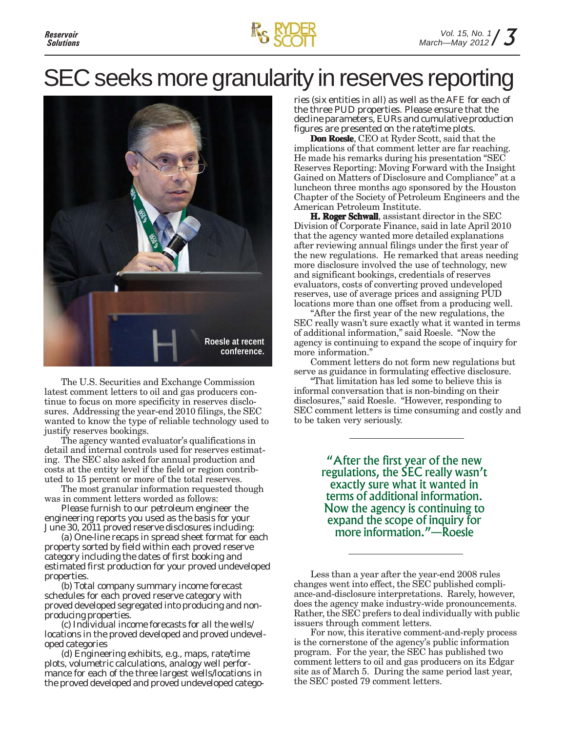### SEC seeks more granularity in reserves reporting



The U.S. Securities and Exchange Commission latest comment letters to oil and gas producers continue to focus on more specificity in reserves disclosures. Addressing the year-end 2010 filings, the SEC wanted to know the type of reliable technology used to justify reserves bookings.

The agency wanted evaluator's qualifications in detail and internal controls used for reserves estimating. The SEC also asked for annual production and costs at the entity level if the field or region contributed to 15 percent or more of the total reserves.

The most granular information requested though was in comment letters worded as follows:

*Please furnish to our petroleum engineer the engineering reports you used as the basis for your June 30, 2011 proved reserve disclosures including:*

*(a) One-line recaps in spread sheet format for each property sorted by field within each proved reserve category including the dates of first booking and estimated first production for your proved undeveloped properties.*

*(b) Total company summary income forecast schedules for each proved reserve category with proved developed segregated into producing and nonproducing properties.*

*(c) Individual income forecasts for all the wells/ locations in the proved developed and proved undeveloped categories*

*(d) Engineering exhibits, e.g., maps, rate/time plots, volumetric calculations, analogy well performance for each of the three largest wells/locations in the proved developed and proved undeveloped catego-* *ries (six entities in all) as well as the AFE for each of the three PUD properties. Please ensure that the decline parameters, EURs and cumulative production figures are presented on the rate/time plots.*

**Don Roesle**, CEO at Ryder Scott, said that the implications of that comment letter are far reaching. He made his remarks during his presentation "SEC Reserves Reporting: Moving Forward with the Insight Gained on Matters of Disclosure and Compliance" at a luncheon three months ago sponsored by the Houston Chapter of the Society of Petroleum Engineers and the American Petroleum Institute.

**H. Roger Schwall**, assistant director in the SEC Division of Corporate Finance, said in late April 2010 that the agency wanted more detailed explanations after reviewing annual filings under the first year of the new regulations. He remarked that areas needing more disclosure involved the use of technology, new and significant bookings, credentials of reserves evaluators, costs of converting proved undeveloped reserves, use of average prices and assigning PUD locations more than one offset from a producing well.

"After the first year of the new regulations, the SEC really wasn't sure exactly what it wanted in terms of additional information," said Roesle. "Now the agency is continuing to expand the scope of inquiry for more information."

Comment letters do not form new regulations but serve as guidance in formulating effective disclosure.

"That limitation has led some to believe this is informal conversation that is non-binding on their disclosures," said Roesle. "However, responding to SEC comment letters is time consuming and costly and to be taken very seriously.

> "After the first year of the new regulations, the SEC really wasn't exactly sure what it wanted in terms of additional information. Now the agency is continuing to expand the scope of inquiry for more information."—Roesle

Less than a year after the year-end 2008 rules changes went into effect, the SEC published compliance-and-disclosure interpretations. Rarely, however, does the agency make industry-wide pronouncements. Rather, the SEC prefers to deal individually with public issuers through comment letters.

For now, this iterative comment-and-reply process is the cornerstone of the agency's public information program. For the year, the SEC has published two comment letters to oil and gas producers on its Edgar site as of March 5. During the same period last year, the SEC posted 79 comment letters.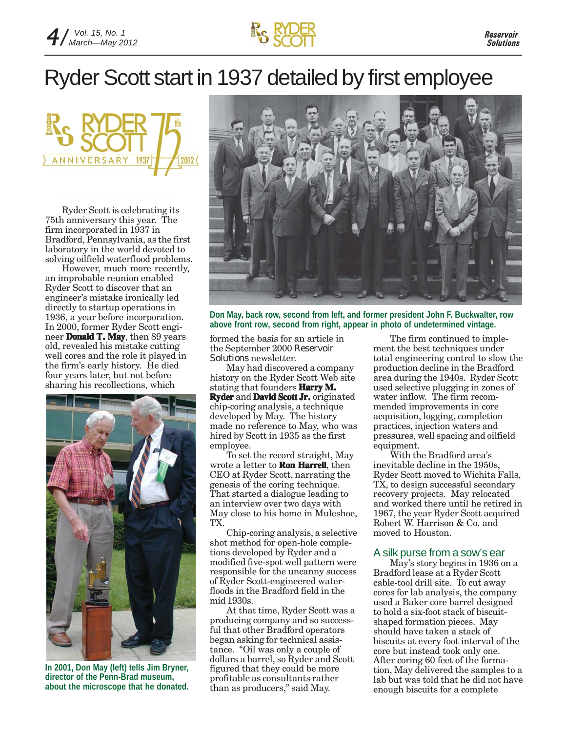

## Ryder Scott start in 1937 detailed by first employee

2012 **VERSARY** 

Ryder Scott is celebrating its 75th anniversary this year. The firm incorporated in 1937 in Bradford, Pennsylvania, as the first laboratory in the world devoted to solving oilfield waterflood problems.

However, much more recently, an improbable reunion enabled Ryder Scott to discover that an engineer's mistake ironically led directly to startup operations in 1936, a year before incorporation. In 2000, former Ryder Scott engineer **Donald T. May**, then 89 years old, revealed his mistake cutting well cores and the role it played in the firm's early history. He died four years later, but not before sharing his recollections, which



**In 2001, Don May (left) tells Jim Bryner, director of the Penn-Brad museum, about the microscope that he donated.**



**Don May, back row, second from left, and former president John F. Buckwalter, row above front row, second from right, appear in photo of undetermined vintage.**

formed the basis for an article in the September 2000 *Reservoir Solutions* newsletter.

May had discovered a company history on the Ryder Scott Web site stating that founders **Harry M. Ryder** and **David Scott Jr.** originated chip-coring analysis, a technique developed by May. The history made no reference to May, who was hired by Scott in 1935 as the first employee.

To set the record straight, May wrote a letter to **Ron Harrell**, then CEO at Ryder Scott, narrating the genesis of the coring technique. That started a dialogue leading to an interview over two days with May close to his home in Muleshoe, TX.

Chip-coring analysis, a selective shot method for open-hole completions developed by Ryder and a modified five-spot well pattern were responsible for the uncanny success of Ryder Scott-engineered waterfloods in the Bradford field in the mid 1930s.

At that time, Ryder Scott was a producing company and so successful that other Bradford operators began asking for technical assistance. "Oil was only a couple of dollars a barrel, so Ryder and Scott figured that they could be more profitable as consultants rather than as producers," said May.

The firm continued to implement the best techniques under total engineering control to slow the production decline in the Bradford area during the 1940s. Ryder Scott used selective plugging in zones of water inflow. The firm recommended improvements in core acquisition, logging, completion practices, injection waters and pressures, well spacing and oilfield equipment.

With the Bradford area's inevitable decline in the 1950s, Ryder Scott moved to Wichita Falls, TX, to design successful secondary recovery projects. May relocated and worked there until he retired in 1967, the year Ryder Scott acquired Robert W. Harrison & Co. and moved to Houston.

### A silk purse from a sow's ear

May's story begins in 1936 on a Bradford lease at a Ryder Scott cable-tool drill site. To cut away cores for lab analysis, the company used a Baker core barrel designed to hold a six-foot stack of biscuitshaped formation pieces. May should have taken a stack of biscuits at every foot interval of the core but instead took only one. After coring 60 feet of the formation, May delivered the samples to a lab but was told that he did not have enough biscuits for a complete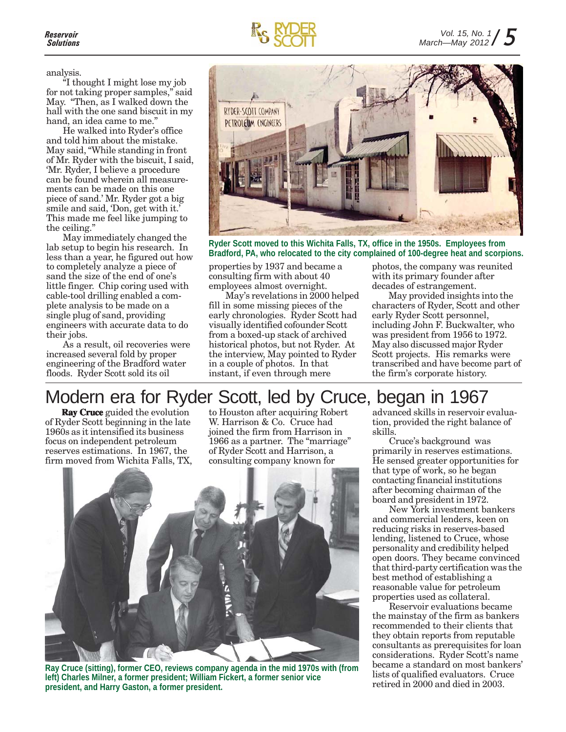analysis.

"I thought I might lose my job for not taking proper samples," said May. "Then, as I walked down the hall with the one sand biscuit in my hand, an idea came to me."

He walked into Ryder's office and told him about the mistake. May said, "While standing in front of Mr. Ryder with the biscuit, I said, 'Mr. Ryder, I believe a procedure can be found wherein all measurements can be made on this one piece of sand.' Mr. Ryder got a big smile and said, 'Don, get with it.' This made me feel like jumping to the ceiling."

May immediately changed the lab setup to begin his research. In less than a year, he figured out how to completely analyze a piece of sand the size of the end of one's little finger. Chip coring used with cable-tool drilling enabled a complete analysis to be made on a single plug of sand, providing engineers with accurate data to do their jobs.

As a result, oil recoveries were increased several fold by proper engineering of the Bradford water floods. Ryder Scott sold its oil



**Ryder Scott moved to this Wichita Falls, TX, office in the 1950s. Employees from Bradford, PA, who relocated to the city complained of 100-degree heat and scorpions.**

properties by 1937 and became a consulting firm with about 40 employees almost overnight.

May's revelations in 2000 helped fill in some missing pieces of the early chronologies. Ryder Scott had visually identified cofounder Scott from a boxed-up stack of archived historical photos, but not Ryder. At the interview, May pointed to Ryder in a couple of photos. In that instant, if even through mere

photos, the company was reunited with its primary founder after decades of estrangement.

May provided insights into the characters of Ryder, Scott and other early Ryder Scott personnel, including John F. Buckwalter, who was president from 1956 to 1972. May also discussed major Ryder Scott projects. His remarks were transcribed and have become part of the firm's corporate history.

### Modern era for Ryder Scott, led by Cruce, began in 1967

**Ray Cruce** guided the evolution of Ryder Scott beginning in the late 1960s as it intensified its business focus on independent petroleum reserves estimations. In 1967, the firm moved from Wichita Falls, TX,

to Houston after acquiring Robert W. Harrison & Co. Cruce had joined the firm from Harrison in 1966 as a partner. The "marriage" of Ryder Scott and Harrison, a consulting company known for



**Ray Cruce (sitting), former CEO, reviews company agenda in the mid 1970s with (from left) Charles Milner, a former president; William Fickert, a former senior vice president, and Harry Gaston, a former president.**

advanced skills in reservoir evaluation, provided the right balance of skills.

Cruce's background was primarily in reserves estimations. He sensed greater opportunities for that type of work, so he began contacting financial institutions after becoming chairman of the board and president in 1972.

New York investment bankers and commercial lenders, keen on reducing risks in reserves-based lending, listened to Cruce, whose personality and credibility helped open doors. They became convinced that third-party certification was the best method of establishing a reasonable value for petroleum properties used as collateral.

Reservoir evaluations became the mainstay of the firm as bankers recommended to their clients that they obtain reports from reputable consultants as prerequisites for loan considerations. Ryder Scott's name became a standard on most bankers' lists of qualified evaluators. Cruce retired in 2000 and died in 2003.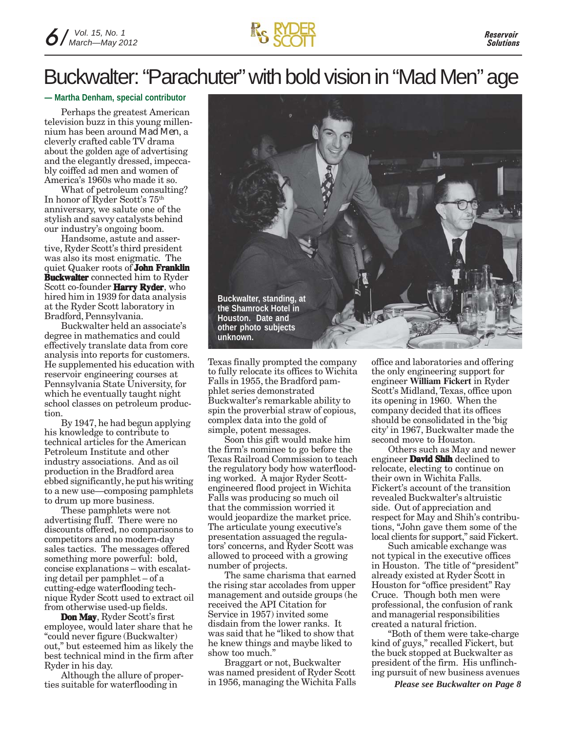

### Buckwalter: "Parachuter" with bold vision in "Mad Men" age

**— Martha Denham, special contributor**

Perhaps the greatest American television buzz in this young millennium has been around *Mad Men*, a cleverly crafted cable TV drama about the golden age of advertising and the elegantly dressed, impeccably coiffed ad men and women of America's 1960s who made it so.

What of petroleum consulting? In honor of Ryder Scott's 75th anniversary, we salute one of the stylish and savvy catalysts behind our industry's ongoing boom.

Handsome, astute and assertive, Ryder Scott's third president was also its most enigmatic. The quiet Quaker roots of **John Franklin Buckwalter** connected him to Ryder Scott co-founder **Harry Ryder**, who hired him in 1939 for data analysis at the Ryder Scott laboratory in Bradford, Pennsylvania.

Buckwalter held an associate's degree in mathematics and could effectively translate data from core analysis into reports for customers. He supplemented his education with reservoir engineering courses at Pennsylvania State University, for which he eventually taught night school classes on petroleum production.

By 1947, he had begun applying his knowledge to contribute to technical articles for the American Petroleum Institute and other industry associations. And as oil production in the Bradford area ebbed significantly, he put his writing to a new use—composing pamphlets to drum up more business.

These pamphlets were not advertising fluff. There were no discounts offered, no comparisons to competitors and no modern-day sales tactics. The messages offered something more powerful: bold, concise explanations – with escalating detail per pamphlet – of a cutting-edge waterflooding technique Ryder Scott used to extract oil from otherwise used-up fields.

**Don May**, Ryder Scott's first employee, would later share that he "could never figure (Buckwalter) out," but esteemed him as likely the best technical mind in the firm after Ryder in his day.

Although the allure of properties suitable for waterflooding in



Texas finally prompted the company to fully relocate its offices to Wichita Falls in 1955, the Bradford pamphlet series demonstrated Buckwalter's remarkable ability to spin the proverbial straw of copious, complex data into the gold of simple, potent messages.

Soon this gift would make him the firm's nominee to go before the Texas Railroad Commission to teach the regulatory body how waterflooding worked. A major Ryder Scottengineered flood project in Wichita Falls was producing so much oil that the commission worried it would jeopardize the market price. The articulate young executive's presentation assuaged the regulators' concerns, and Ryder Scott was allowed to proceed with a growing number of projects.

The same charisma that earned the rising star accolades from upper management and outside groups (he received the API Citation for Service in 1957) invited some disdain from the lower ranks. It was said that he "liked to show that he knew things and maybe liked to show too much."

Braggart or not, Buckwalter was named president of Ryder Scott in 1956, managing the Wichita Falls office and laboratories and offering the only engineering support for engineer **William Fickert** in Ryder Scott's Midland, Texas, office upon its opening in 1960. When the company decided that its offices should be consolidated in the 'big city' in 1967, Buckwalter made the second move to Houston.

Others such as May and newer engineer **David Shih** declined to relocate, electing to continue on their own in Wichita Falls. Fickert's account of the transition revealed Buckwalter's altruistic side. Out of appreciation and respect for May and Shih's contributions, "John gave them some of the local clients for support," said Fickert.

Such amicable exchange was not typical in the executive offices in Houston. The title of "president" already existed at Ryder Scott in Houston for "office president" Ray Cruce. Though both men were professional, the confusion of rank and managerial responsibilities created a natural friction.

"Both of them were take-charge kind of guys," recalled Fickert, but the buck stopped at Buckwalter as president of the firm. His unflinching pursuit of new business avenues

*Please see Buckwalter on Page 8*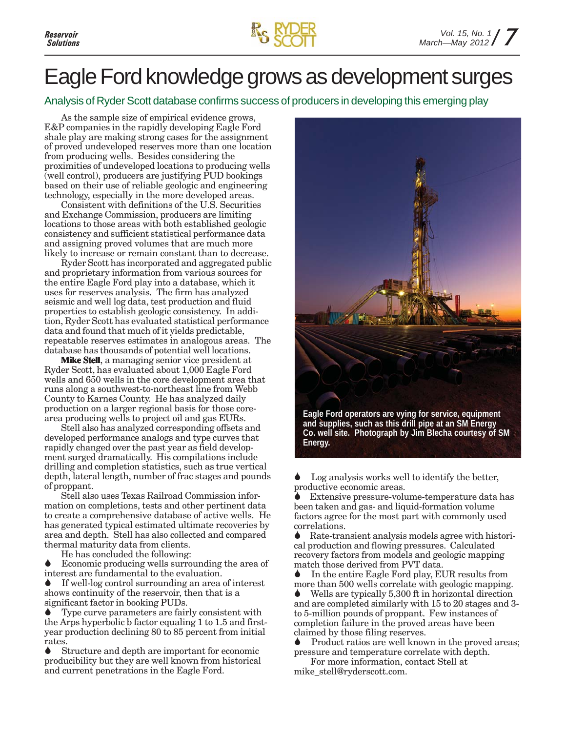

### Eagle Ford knowledge grows as development surges

Analysis of Ryder Scott database confirms success of producers in developing this emerging play

As the sample size of empirical evidence grows, E&P companies in the rapidly developing Eagle Ford shale play are making strong cases for the assignment of proved undeveloped reserves more than one location from producing wells. Besides considering the proximities of undeveloped locations to producing wells (well control), producers are justifying PUD bookings based on their use of reliable geologic and engineering technology, especially in the more developed areas.

Consistent with definitions of the U.S. Securities and Exchange Commission, producers are limiting locations to those areas with both established geologic consistency and sufficient statistical performance data and assigning proved volumes that are much more likely to increase or remain constant than to decrease.

Ryder Scott has incorporated and aggregated public and proprietary information from various sources for the entire Eagle Ford play into a database, which it uses for reserves analysis. The firm has analyzed seismic and well log data, test production and fluid properties to establish geologic consistency. In addition, Ryder Scott has evaluated statistical performance data and found that much of it yields predictable, repeatable reserves estimates in analogous areas. The database has thousands of potential well locations.

**Mike Stell**, a managing senior vice president at Ryder Scott, has evaluated about 1,000 Eagle Ford wells and 650 wells in the core development area that runs along a southwest-to-northeast line from Webb County to Karnes County. He has analyzed daily production on a larger regional basis for those corearea producing wells to project oil and gas EURs.

Stell also has analyzed corresponding offsets and developed performance analogs and type curves that rapidly changed over the past year as field development surged dramatically. His compilations include drilling and completion statistics, such as true vertical depth, lateral length, number of frac stages and pounds of proppant.

Stell also uses Texas Railroad Commission information on completions, tests and other pertinent data to create a comprehensive database of active wells. He has generated typical estimated ultimate recoveries by area and depth. Stell has also collected and compared thermal maturity data from clients.

He has concluded the following:

Economic producing wells surrounding the area of interest are fundamental to the evaluation.

If well-log control surrounding an area of interest shows continuity of the reservoir, then that is a significant factor in booking PUDs.

Type curve parameters are fairly consistent with the Arps hyperbolic b factor equaling 1 to 1.5 and firstyear production declining 80 to 85 percent from initial rates.

Structure and depth are important for economic producibility but they are well known from historical and current penetrations in the Eagle Ford.



**and supplies, such as this drill pipe at an SM Energy Co. well site. Photograph by Jim Blecha courtesy of SM Energy.**

Log analysis works well to identify the better, productive economic areas.

Extensive pressure-volume-temperature data has been taken and gas- and liquid-formation volume factors agree for the most part with commonly used correlations.

Rate-transient analysis models agree with historical production and flowing pressures. Calculated recovery factors from models and geologic mapping match those derived from PVT data.

In the entire Eagle Ford play, EUR results from more than 500 wells correlate with geologic mapping.

Wells are typically 5,300 ft in horizontal direction and are completed similarly with 15 to 20 stages and 3 to 5-million pounds of proppant. Few instances of completion failure in the proved areas have been claimed by those filing reserves.

Product ratios are well known in the proved areas; pressure and temperature correlate with depth.

For more information, contact Stell at mike\_stell@ryderscott.com.